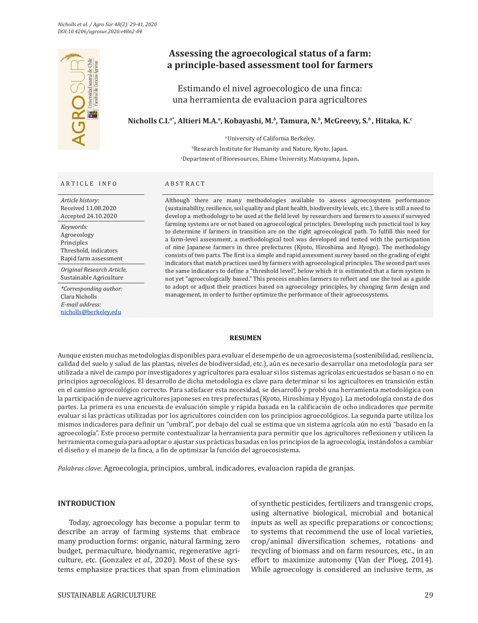

### ARTICLE INFO ABSTRACT

*Article history:* Received 11.08.2020 Accepted 24.10.2020

*Keywords:* Agroecology Principles Threshold, indicators Rapid farm assessment

*Original Research Article,* Sustainable Agriculture

*\*Corresponding author:*  Clara Nicholls *E-mail address:* [nicholls@berkeley.edu](mailto:nicholls@berkeley.edu)

# **Assessing the agroecological status of a farm: a principle-based assessment tool for farmers**

Estimando el nivel agroecologico de una finca: una herramienta de evaluacion para agricultores

## **Nicholls C.I.***<sup>a</sup>***\* , Altieri M.A.***<sup>a</sup>* **, Kobayashi, M.***<sup>b</sup>* **, Tamura, N.***<sup>b</sup>* **, McGreevy, S.***<sup>b</sup>* **, Hitaka, K.c**

a University of California Berkeley.

b Research Institute for Humanity and Nature, Kyoto, Japan. c Department of Bioresources, Ehime University, Matsuyama, Japan**.**

Although there are many methodologies available to assess agroecosystem performance (sustainability, resilience, soil quality and plant health, biodiversity levels, etc.), there is still a need to develop a methodology to be used at the field level by researchers and farmers to assess if surveyed farming systems are or not based on agroecological principles. Developing such practical tool is key to determine if farmers in transition are on the right agroecological path. To fulfill this need for a farm-level assessment, a methodological tool was developed and tested with the participation of nine Japanese farmers in three prefectures (Kyoto, Hiroshima and Hyogo). The methodology consists of two parts. The first is a simple and rapid assessment survey based on the grading of eight indicators that match practices used by farmers with agroecological principles. The second part uses the same indicators to define a "threshold level", below which it is estimated that a farm system is not yet "agroecologically based." This process enables farmers to reflect and use the tool as a guide to adopt or adjust their practices based on agroecology principles, by changing farm design and management, in order to further optimize the performance of their agroecosystems.

#### **RESUMEN**

Aunque existen muchas metodologías disponibles para evaluar el desempeño de un agroecosistema (sostenibilidad, resiliencia, calidad del suelo y salud de las plantas, niveles de biodiversidad, etc.), aún es necesario desarrollar una metodología para ser utilizada a nivel de campo por investigadores y agricultores para evaluar si los sistemas agrícolas encuestados se basan o no en principios agroecológicos. El desarrollo de dicha metodologia es clave para determinar si los agricultores en transición están en el camino agroecológico correcto. Para satisfacer esta necesidad, se desarrolló y probó una herramienta metodológica con la participación de nueve agricultores japoneses en tres prefecturas (Kyoto, Hiroshima y Hyogo). La metodología consta de dos partes. La primera es una encuesta de evaluación simple y rápida basada en la calificación de ocho indicadores que permite evaluar si las prácticas utilizadas por los agricultores coinciden con los principios agroecológicos. La segunda parte utiliza los mismos indicadores para definir un "umbral", por debajo del cual se estima que un sistema agrícola aún no está "basado en la agroecología". Este proceso permite contextualizar la herramienta para permitir que los agricultores reflexionen y utilicen la herramienta como guía para adoptar o ajustar sus prácticas basadas en los principios de la agroecología, instándolos a cambiar el diseño y el manejo de la finca, a fin de optimizar la función del agroecosistema.

*Palabras clave*: Agroecologia, principios, umbral, indicadores, evaluacion rapida de granjas.

## **INTRODUCTION**

Today, agroecology has become a popular term to describe an array of farming systems that embrace many production forms: organic, natural farming, zero budget, permaculture, biodynamic, regenerative agriculture, etc. (Gonzalez *et al.,* 2020). Most of these systems emphasize practices that span from elimination

of synthetic pesticides, fertilizers and transgenic crops, using alternative biological, microbial and botanical inputs as well as specific preparations or concoctions; to systems that recommend the use of local varieties, crop/animal diversification schemes, rotations and recycling of biomass and on farm resources, etc., in an effort to maximize autonomy (Van der Ploeg, 2014). While agroecology is considered an inclusive term, as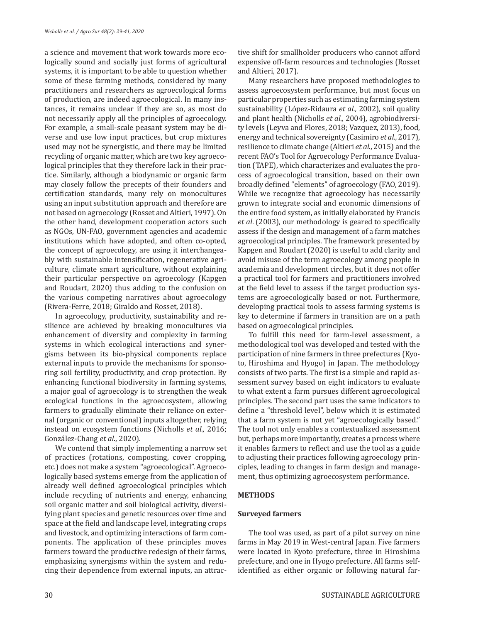a science and movement that work towards more ecologically sound and socially just forms of agricultural systems, it is important to be able to question whether some of these farming methods, considered by many practitioners and researchers as agroecological forms of production, are indeed agroecological. In many instances, it remains unclear if they are so, as most do not necessarily apply all the principles of agroecology. For example, a small-scale peasant system may be diverse and use low input practices, but crop mixtures used may not be synergistic, and there may be limited recycling of organic matter, which are two key agroecological principles that they therefore lack in their practice. Similarly, although a biodynamic or organic farm may closely follow the precepts of their founders and certification standards, many rely on monocultures using an input substitution approach and therefore are not based on agroecology (Rosset and Altieri, 1997). On the other hand, development cooperation actors such as NGOs, UN-FAO, government agencies and academic institutions which have adopted, and often co-opted, the concept of agroecology, are using it interchangeably with sustainable intensification, regenerative agriculture, climate smart agriculture, without explaining their particular perspective on agroecology (Kapgen and Roudart, 2020) thus adding to the confusion on the various competing narratives about agroecology (Rivera-Ferre, 2018; Giraldo and Rosset, 2018).

In agroecology, productivity, sustainability and resilience are achieved by breaking monocultures via enhancement of diversity and complexity in farming systems in which ecological interactions and synergisms between its bio-physical components replace external inputs to provide the mechanisms for sponsoring soil fertility, productivity, and crop protection. By enhancing functional biodiversity in farming systems, a major goal of agroecology is to strengthen the weak ecological functions in the agroecosystem, allowing farmers to gradually eliminate their reliance on external (organic or conventional) inputs altogether, relying instead on ecosystem functions (Nicholls *et al.,* 2016; González-Chang *et al*., 2020).

We contend that simply implementing a narrow set of practices (rotations, composting, cover cropping, etc.) does not make a system "agroecological". Agroecologically based systems emerge from the application of already well defined agroecological principles which include recycling of nutrients and energy, enhancing soil organic matter and soil biological activity, diversifying plant species and genetic resources over time and space at the field and landscape level, integrating crops and livestock, and optimizing interactions of farm components. The application of these principles moves farmers toward the productive redesign of their farms, emphasizing synergisms within the system and reducing their dependence from external inputs, an attractive shift for smallholder producers who cannot afford expensive off-farm resources and technologies (Rosset and Altieri, 2017).

Many researchers have proposed methodologies to assess agroecosystem performance, but most focus on particular properties such as estimating farming system sustainability (López-Ridaura *et al.,* 2002), soil quality and plant health (Nicholls *et al.,* 2004), agrobiodiversity levels (Leyva and Flores, 2018; Vazquez, 2013), food, energy and technical sovereignty (Casimiro *et al.,* 2017), resilience to climate change (Altieri *et al*., 2015) and the recent FAO's Tool for Agroecology Performance Evaluation (TAPE), which characterizes and evaluates the process of agroecological transition, based on their own broadly defined "elements" of agroecology (FAO, 2019). While we recognize that agroecology has necessarily grown to integrate social and economic dimensions of the entire food system, as initially elaborated by Francis *et al*. (2003), our methodology is geared to specifically assess if the design and management of a farm matches agroecological principles. The framework presented by Kapgen and Roudart (2020) is useful to add clarity and avoid misuse of the term agroecology among people in academia and development circles, but it does not offer a practical tool for farmers and practitioners involved at the field level to assess if the target production systems are agroecologically based or not. Furthermore, developing practical tools to assess farming systems is key to determine if farmers in transition are on a path based on agroecological principles.

To fulfill this need for farm-level assessment, a methodological tool was developed and tested with the participation of nine farmers in three prefectures (Kyoto, Hiroshima and Hyogo) in Japan. The methodology consists of two parts. The first is a simple and rapid assessment survey based on eight indicators to evaluate to what extent a farm pursues different agroecological principles. The second part uses the same indicators to define a "threshold level", below which it is estimated that a farm system is not yet "agroecologically based." The tool not only enables a contextualized assessment but, perhaps more importantly, creates a process where it enables farmers to reflect and use the tool as a guide to adjusting their practices following agroecology principles, leading to changes in farm design and management, thus optimizing agroecosystem performance.

## **METHODS**

## **Surveyed farmers**

The tool was used, as part of a pilot survey on nine farms in May 2019 in West-central Japan. Five farmers were located in Kyoto prefecture, three in Hiroshima prefecture, and one in Hyogo prefecture. All farms selfidentified as either organic or following natural far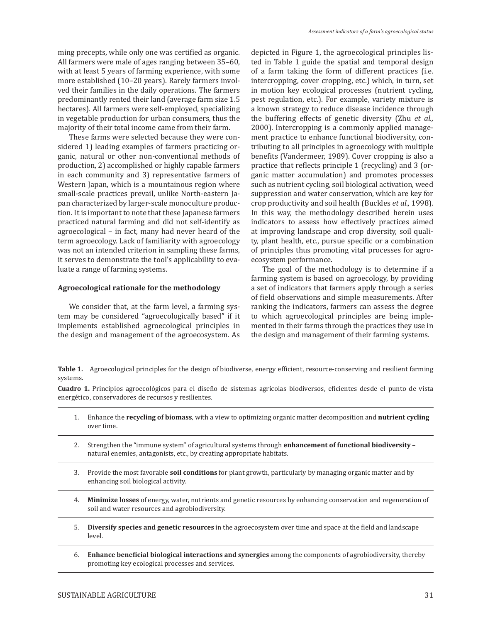ming precepts, while only one was certified as organic. All farmers were male of ages ranging between 35–60, with at least 5 years of farming experience, with some more established (10–20 years). Rarely farmers involved their families in the daily operations. The farmers predominantly rented their land (average farm size 1.5 hectares). All farmers were self-employed, specializing in vegetable production for urban consumers, thus the majority of their total income came from their farm.

These farms were selected because they were considered 1) leading examples of farmers practicing organic, natural or other non-conventional methods of production, 2) accomplished or highly capable farmers in each community and 3) representative farmers of Western Japan, which is a mountainous region where small-scale practices prevail, unlike North-eastern Japan characterized by larger-scale monoculture production. It is important to note that these Japanese farmers practiced natural farming and did not self-identify as agroecological – in fact, many had never heard of the term agroecology. Lack of familiarity with agroecology was not an intended criterion in sampling these farms, it serves to demonstrate the tool's applicability to evaluate a range of farming systems.

#### **Agroecological rationale for the methodology**

We consider that, at the farm level, a farming system may be considered "agroecologically based" if it implements established agroecological principles in the design and management of the agroecosystem. As

depicted in Figure 1, the agroecological principles listed in Table 1 guide the spatial and temporal design of a farm taking the form of different practices (i.e. intercropping, cover cropping, etc.) which, in turn, set in motion key ecological processes (nutrient cycling, pest regulation, etc.). For example, variety mixture is a known strategy to reduce disease incidence through the buffering effects of genetic diversity (Zhu *et al.,* 2000). Intercropping is a commonly applied management practice to enhance functional biodiversity, contributing to all principles in agroecology with multiple benefits (Vandermeer, 1989). Cover cropping is also a practice that reflects principle 1 (recycling) and 3 (organic matter accumulation) and promotes processes such as nutrient cycling, soil biological activation, weed suppression and water conservation, which are key for crop productivity and soil health (Buckles *et al.,* 1998). In this way, the methodology described herein uses indicators to assess how effectively practices aimed at improving landscape and crop diversity, soil quality, plant health, etc., pursue specific or a combination of principles thus promoting vital processes for agroecosystem performance.

The goal of the methodology is to determine if a farming system is based on agroecology, by providing a set of indicators that farmers apply through a series of field observations and simple measurements. After ranking the indicators, farmers can assess the degree to which agroecological principles are being implemented in their farms through the practices they use in the design and management of their farming systems.

**Table 1.** Agroecological principles for the design of biodiverse, energy efficient, resource-conserving and resilient farming systems.

**Cuadro 1.** Principios agroecológicos para el diseño de sistemas agrícolas biodiversos, eficientes desde el punto de vista energético, conservadores de recursos y resilientes.

- 1. Enhance the **recycling of biomass**, with a view to optimizing organic matter decomposition and **nutrient cycling** over time.
- 2. Strengthen the "immune system" of agricultural systems through **enhancement of functional biodiversity** natural enemies, antagonists, etc., by creating appropriate habitats.
- 3. Provide the most favorable **soil conditions** for plant growth, particularly by managing organic matter and by enhancing soil biological activity.
- 4. **Minimize losses** of energy, water, nutrients and genetic resources by enhancing conservation and regeneration of soil and water resources and agrobiodiversity.
- 5. **Diversify species and genetic resources** in the agroecosystem over time and space at the field and landscape level.
- 6. **Enhance beneficial biological interactions and synergies** among the components of agrobiodiversity, thereby promoting key ecological processes and services.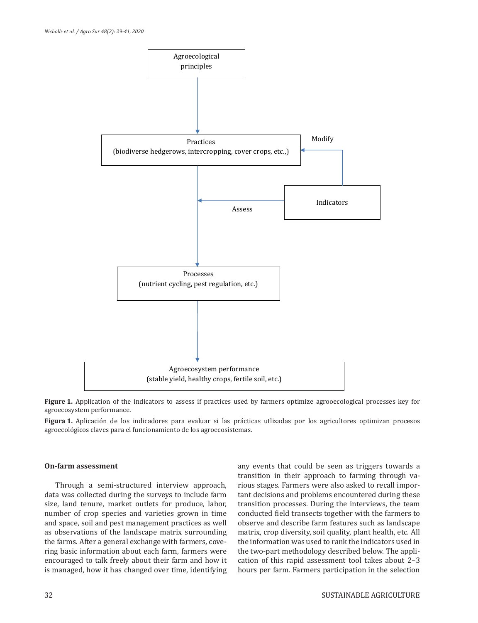

**Figure 1.** Application of the indicators to assess if practices used by farmers optimize agrooecological processes key for agroecosystem performance.

**Figura 1.** Aplicación de los indicadores para evaluar si las prácticas utlizadas por los agricultores optimizan procesos agroecológicos claves para el funcionamiento de los agroecosistemas.

### **On-farm assessment**

Through a semi-structured interview approach, data was collected during the surveys to include farm size, land tenure, market outlets for produce, labor, number of crop species and varieties grown in time and space, soil and pest management practices as well as observations of the landscape matrix surrounding the farms. After a general exchange with farmers, covering basic information about each farm, farmers were encouraged to talk freely about their farm and how it is managed, how it has changed over time, identifying

any events that could be seen as triggers towards a transition in their approach to farming through various stages. Farmers were also asked to recall important decisions and problems encountered during these transition processes. During the interviews, the team conducted field transects together with the farmers to observe and describe farm features such as landscape matrix, crop diversity, soil quality, plant health, etc. All the information was used to rank the indicators used in the two-part methodology described below. The application of this rapid assessment tool takes about 2–3 hours per farm. Farmers participation in the selection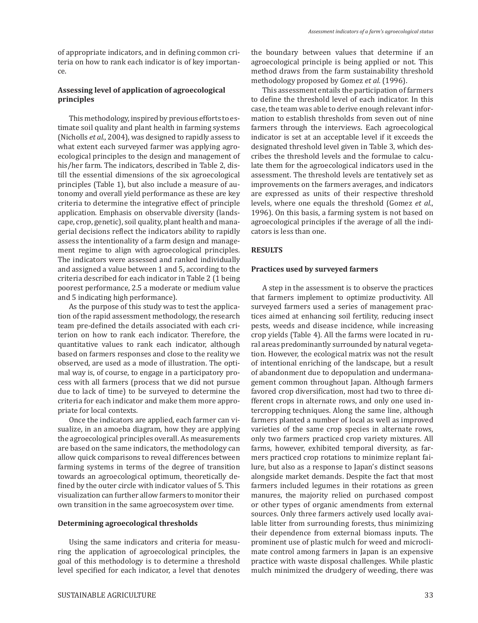of appropriate indicators, and in defining common criteria on how to rank each indicator is of key importance.

## **Assessing level of application of agroecological principles**

This methodology, inspired by previous efforts to estimate soil quality and plant health in farming systems (Nicholls *et al.,* 2004), was designed to rapidly assess to what extent each surveyed farmer was applying agroecological principles to the design and management of his/her farm. The indicators, described in Table 2, distill the essential dimensions of the six agroecological principles (Table 1), but also include a measure of autonomy and overall yield performance as these are key criteria to determine the integrative effect of principle application. Emphasis on observable diversity (landscape, crop, genetic), soil quality, plant health and managerial decisions reflect the indicators ability to rapidly assess the intentionality of a farm design and management regime to align with agroecological principles. The indicators were assessed and ranked individually and assigned a value between 1 and 5, according to the criteria described for each indicator in Table 2 (1 being poorest performance, 2.5 a moderate or medium value and 5 indicating high performance).

As the purpose of this study was to test the application of the rapid assessment methodology, the research team pre-defined the details associated with each criterion on how to rank each indicator. Therefore, the quantitative values to rank each indicator, although based on farmers responses and close to the reality we observed, are used as a mode of illustration. The optimal way is, of course, to engage in a participatory process with all farmers (process that we did not pursue due to lack of time) to be surveyed to determine the criteria for each indicator and make them more appropriate for local contexts.

Once the indicators are applied, each farmer can visualize, in an amoeba diagram, how they are applying the agroecological principles overall. As measurements are based on the same indicators, the methodology can allow quick comparisons to reveal differences between farming systems in terms of the degree of transition towards an agroecological optimum, theoretically defined by the outer circle with indicator values of 5. This visualization can further allow farmers to monitor their own transition in the same agroecosystem over time.

#### **Determining agroecological thresholds**

Using the same indicators and criteria for measuring the application of agroecological principles, the goal of this methodology is to determine a threshold level specified for each indicator, a level that denotes the boundary between values that determine if an agroecological principle is being applied or not. This method draws from the farm sustainability threshold methodology proposed by Gomez *et al.* (1996).

This assessment entails the participation of farmers to define the threshold level of each indicator. In this case, the team was able to derive enough relevant information to establish thresholds from seven out of nine farmers through the interviews. Each agroecological indicator is set at an acceptable level if it exceeds the designated threshold level given in Table 3, which describes the threshold levels and the formulae to calculate them for the agroecological indicators used in the assessment. The threshold levels are tentatively set as improvements on the farmers averages, and indicators are expressed as units of their respective threshold levels, where one equals the threshold (Gomez *et al.*, 1996). On this basis, a farming system is not based on agroecological principles if the average of all the indicators is less than one.

#### **RESULTS**

### **Practices used by surveyed farmers**

A step in the assessment is to observe the practices that farmers implement to optimize productivity. All surveyed farmers used a series of management practices aimed at enhancing soil fertility, reducing insect pests, weeds and disease incidence, while increasing crop yields (Table 4). All the farms were located in rural areas predominantly surrounded by natural vegetation. However, the ecological matrix was not the result of intentional enriching of the landscape, but a result of abandonment due to depopulation and undermanagement common throughout Japan. Although farmers favored crop diversification, most had two to three different crops in alternate rows, and only one used intercropping techniques. Along the same line, although farmers planted a number of local as well as improved varieties of the same crop species in alternate rows, only two farmers practiced crop variety mixtures. All farms, however, exhibited temporal diversity, as farmers practiced crop rotations to minimize replant failure, but also as a response to Japan's distinct seasons alongside market demands. Despite the fact that most farmers included legumes in their rotations as green manures, the majority relied on purchased compost or other types of organic amendments from external sources. Only three farmers actively used locally available litter from surrounding forests, thus minimizing their dependence from external biomass inputs. The prominent use of plastic mulch for weed and microclimate control among farmers in Japan is an expensive practice with waste disposal challenges. While plastic mulch minimized the drudgery of weeding, there was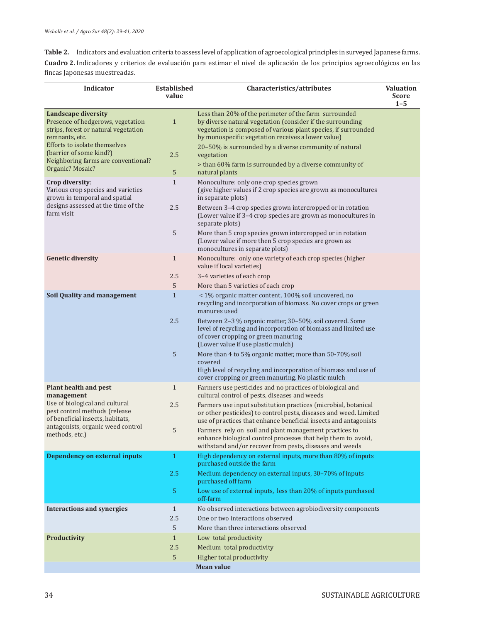**Table 2.** Indicators and evaluation criteria to assess level of application of agroecological principles in surveyed Japanese farms. **Cuadro 2.** Indicadores y criterios de evaluación para estimar el nivel de aplicación de los principios agroecológicos en las fincas Japonesas muestreadas.

| <b>Indicator</b>                                                                                                                                                                                                                                 | <b>Established</b><br>value | Characteristics/attributes                                                                                                                                                                                                                                                                                                                                                                                                                                                                                                                                        | <b>Valuation</b><br><b>Score</b> |
|--------------------------------------------------------------------------------------------------------------------------------------------------------------------------------------------------------------------------------------------------|-----------------------------|-------------------------------------------------------------------------------------------------------------------------------------------------------------------------------------------------------------------------------------------------------------------------------------------------------------------------------------------------------------------------------------------------------------------------------------------------------------------------------------------------------------------------------------------------------------------|----------------------------------|
| <b>Landscape diversity</b><br>Presence of hedgerows, vegetation<br>strips, forest or natural vegetation<br>remnants, etc.<br>Efforts to isolate themselves<br>(barrier of some kind?)<br>Neighboring farms are conventional?<br>Organic? Mosaic? | $\mathbf{1}$<br>2.5<br>5    | Less than 20% of the perimeter of the farm surrounded<br>by diverse natural vegetation (consider if the surrounding<br>vegetation is composed of various plant species, if surrounded<br>by monospecific vegetation receives a lower value)<br>20-50% is surrounded by a diverse community of natural<br>vegetation<br>> than 60% farm is surrounded by a diverse community of<br>natural plants                                                                                                                                                                  | $1 - 5$                          |
| Crop diversity:<br>Various crop species and varieties<br>grown in temporal and spatial<br>designs assessed at the time of the<br>farm visit                                                                                                      | $\mathbf{1}$<br>2.5         | Monoculture: only one crop species grown<br>(give higher values if 2 crop species are grown as monocultures<br>in separate plots)<br>Between 3-4 crop species grown intercropped or in rotation<br>(Lower value if 3-4 crop species are grown as monocultures in                                                                                                                                                                                                                                                                                                  |                                  |
|                                                                                                                                                                                                                                                  | 5                           | separate plots)<br>More than 5 crop species grown intercropped or in rotation<br>(Lower value if more then 5 crop species are grown as<br>monocultures in separate plots)                                                                                                                                                                                                                                                                                                                                                                                         |                                  |
| <b>Genetic diversity</b>                                                                                                                                                                                                                         | $\mathbf{1}$<br>2.5<br>5    | Monoculture: only one variety of each crop species (higher<br>value if local varieties)<br>3-4 varieties of each crop<br>More than 5 varieties of each crop                                                                                                                                                                                                                                                                                                                                                                                                       |                                  |
| <b>Soil Quality and management</b>                                                                                                                                                                                                               | $\mathbf{1}$<br>2.5<br>5    | < 1% organic matter content, 100% soil uncovered, no<br>recycling and incorporation of biomass. No cover crops or green<br>manures used<br>Between 2-3 % organic matter, 30-50% soil covered. Some<br>level of recycling and incorporation of biomass and limited use<br>of cover cropping or green manuring<br>(Lower value if use plastic mulch)<br>More than 4 to 5% organic matter, more than 50-70% soil<br>covered<br>High level of recycling and incorporation of biomass and use of                                                                       |                                  |
| Plant health and pest<br>management<br>Use of biological and cultural<br>pest control methods (release<br>of beneficial insects, habitats,<br>antagonists, organic weed control<br>methods, etc.)                                                | $\mathbf{1}$<br>2.5<br>5    | cover cropping or green manuring. No plastic mulch<br>Farmers use pesticides and no practices of biological and<br>cultural control of pests, diseases and weeds<br>Farmers use input substitution practices (microbial, botanical<br>or other pesticides) to control pests, diseases and weed. Limited<br>use of practices that enhance beneficial insects and antagonists<br>Farmers rely on soil and plant management practices to<br>enhance biological control processes that help them to avoid,<br>withstand and/or recover from pests, diseases and weeds |                                  |
| Dependency on external inputs                                                                                                                                                                                                                    | $\mathbf{1}$<br>2.5<br>5    | High dependency on external inputs, more than 80% of inputs<br>purchased outside the farm<br>Medium dependency on external inputs, 30-70% of inputs<br>purchased off farm<br>Low use of external inputs, less than 20% of inputs purchased<br>off-farm                                                                                                                                                                                                                                                                                                            |                                  |
| <b>Interactions and synergies</b>                                                                                                                                                                                                                | $\mathbf{1}$<br>2.5<br>5    | No observed interactions between agrobiodiversity components<br>One or two interactions observed<br>More than three interactions observed                                                                                                                                                                                                                                                                                                                                                                                                                         |                                  |
| Productivity                                                                                                                                                                                                                                     | $\mathbf{1}$<br>2.5<br>5    | Low total productivity<br>Medium total productivity<br>Higher total productivity<br><b>Mean value</b>                                                                                                                                                                                                                                                                                                                                                                                                                                                             |                                  |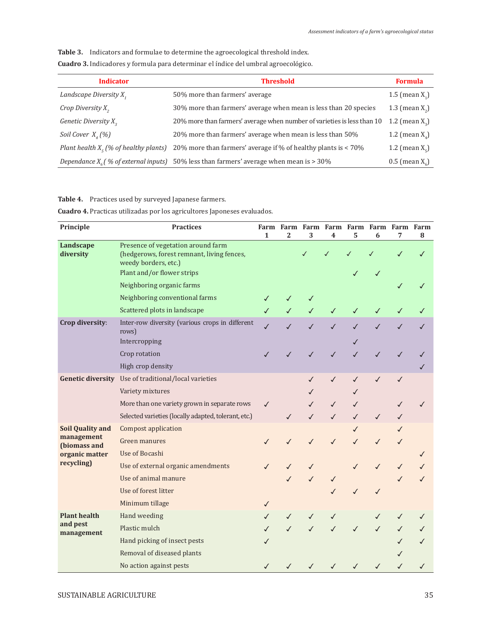**Table 3.** Indicators and formulae to determine the agroecological threshold index.

**Cuadro 3.** Indicadores y formula para determinar el índice del umbral agroecológico.

| <b>Indicator</b>                         | <b>Threshold</b>                                                                          | <b>Formula</b>            |
|------------------------------------------|-------------------------------------------------------------------------------------------|---------------------------|
| Landscape Diversity X,                   | 50% more than farmers' average                                                            | 1.5 (mean $X_1$ )         |
| Crop Diversity $X_{2}$                   | 30% more than farmers' average when mean is less than 20 species                          | 1.3 (mean $X_2$ )         |
| Genetic Diversity X <sub>2</sub>         | 20% more than farmers' average when number of varieties is less than 10                   | 1.2 (mean $X_2$ )         |
| Soil Cover $X_{\mu}(\%)$                 | 20% more than farmers' average when mean is less than 50%                                 | 1.2 (mean $X_{\lambda}$ ) |
| Plant health $X_c$ (% of healthy plants) | 20% more than farmers' average if % of healthy plants is < 70%                            | 1.2 (mean $X_c$ )         |
|                                          | Dependance $X_c$ (% of external inputs) 50% less than farmers' average when mean is > 30% | $0.5$ (mean $X_c$ )       |

**Table 4.** Practices used by surveyed Japanese farmers.

**Cuadro 4.** Practicas utilizadas por los agricultores Japoneses evaluados.

| Principle                      | <b>Practices</b>                                                                                         | $\mathbf{1}$ | $\overline{2}$ | 3            | Farm Farm Farm Farm Farm Farm Farm Farm<br>4 | 5            | 6            | 7            | 8            |
|--------------------------------|----------------------------------------------------------------------------------------------------------|--------------|----------------|--------------|----------------------------------------------|--------------|--------------|--------------|--------------|
| Landscape<br>diversity         | Presence of vegetation around farm<br>(hedgerows, forest remnant, living fences,<br>weedy borders, etc.) |              |                |              |                                              | J            |              | ✓            |              |
|                                | Plant and/or flower strips                                                                               |              |                |              |                                              |              |              |              |              |
|                                | Neighboring organic farms                                                                                |              |                |              |                                              |              |              |              |              |
|                                | Neighboring conventional farms                                                                           |              |                |              |                                              |              |              |              |              |
|                                | Scattered plots in landscape                                                                             | ✓            |                |              | ✓                                            | $\checkmark$ | $\checkmark$ | ✓            | ✓            |
| Crop diversity:                | Inter-row diversity (various crops in different<br>rows)<br>Intercropping                                | $\checkmark$ | $\checkmark$   | $\checkmark$ | $\checkmark$                                 | $\checkmark$ | $\checkmark$ | $\checkmark$ | $\checkmark$ |
|                                | Crop rotation                                                                                            |              | $\checkmark$   | $\checkmark$ | $\checkmark$                                 | $\checkmark$ | $\checkmark$ | $\checkmark$ | √            |
|                                | High crop density                                                                                        |              |                |              |                                              |              |              |              | ✓            |
|                                | Genetic diversity Use of traditional/local varieties                                                     |              |                | $\checkmark$ | $\checkmark$                                 | $\checkmark$ | $\checkmark$ | $\checkmark$ |              |
|                                | Variety mixtures                                                                                         |              |                |              |                                              |              |              |              |              |
|                                | More than one variety grown in separate rows                                                             | $\checkmark$ |                |              | ✓                                            |              |              | ✓            | ✓            |
|                                | Selected varieties (locally adapted, tolerant, etc.)                                                     |              | $\checkmark$   | $\checkmark$ |                                              | $\checkmark$ | ✓            | ✓            |              |
| <b>Soil Quality and</b>        | <b>Compost application</b>                                                                               |              |                |              |                                              | ✓            |              |              |              |
| management                     | Green manures                                                                                            | ℐ            | ✓              | ✓            | ✓                                            | ✓            | ✓            | ✓            |              |
| (biomass and<br>organic matter | Use of Bocashi                                                                                           |              |                |              |                                              |              |              |              | $\checkmark$ |
| recycling)                     | Use of external organic amendments                                                                       | ✓            | J              |              |                                              | ✓            | ✓            | ✓            |              |
|                                | Use of animal manure                                                                                     |              |                | ✓            |                                              |              |              |              |              |
|                                | Use of forest litter                                                                                     |              |                |              |                                              |              |              |              |              |
|                                | Minimum tillage                                                                                          | ✓            |                |              |                                              |              |              |              |              |
| <b>Plant health</b>            | Hand weeding                                                                                             | ✓            | ✓              | ✓            |                                              |              |              | ✓            | ✓            |
| and pest                       | Plastic mulch                                                                                            |              |                |              |                                              |              | $\checkmark$ | $\checkmark$ | ✓            |
| management                     | Hand picking of insect pests                                                                             | ✓            |                |              |                                              |              |              |              | ✓            |
|                                | Removal of diseased plants                                                                               |              |                |              |                                              |              |              |              |              |
|                                | No action against pests                                                                                  |              |                |              |                                              |              | ✓            | ✓            | ✓            |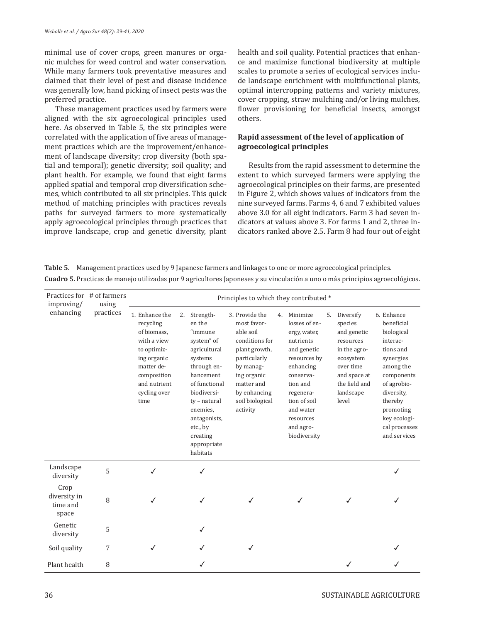minimal use of cover crops, green manures or organic mulches for weed control and water conservation. While many farmers took preventative measures and claimed that their level of pest and disease incidence was generally low, hand picking of insect pests was the preferred practice.

These management practices used by farmers were aligned with the six agroecological principles used here. As observed in Table 5, the six principles were correlated with the application of five areas of management practices which are the improvement/enhancement of landscape diversity; crop diversity (both spatial and temporal); genetic diversity; soil quality; and plant health. For example, we found that eight farms applied spatial and temporal crop diversification schemes, which contributed to all six principles. This quick method of matching principles with practices reveals paths for surveyed farmers to more systematically apply agroecological principles through practices that improve landscape, crop and genetic diversity, plant health and soil quality. Potential practices that enhance and maximize functional biodiversity at multiple scales to promote a series of ecological services include landscape enrichment with multifunctional plants, optimal intercropping patterns and variety mixtures, cover cropping, straw mulching and/or living mulches, flower provisioning for beneficial insects, amongst others.

## **Rapid assessment of the level of application of agroecological principles**

Results from the rapid assessment to determine the extent to which surveyed farmers were applying the agroecological principles on their farms, are presented in Figure 2, which shows values of indicators from the nine surveyed farms. Farms 4, 6 and 7 exhibited values above 3.0 for all eight indicators. Farm 3 had seven indicators at values above 3. For farms 1 and 2, three indicators ranked above 2.5. Farm 8 had four out of eight

**Table 5.** Management practices used by 9 Japanese farmers and linkages to one or more agroecological principles.

| Practices for # of farmers<br>improving/  | using     |                                                                                                                                                              |                                                                                                                              |                                                                                                          | Principles to which they contributed *                                                                                                                                                 |    |                                                                                                                                                                                                                 |    |                                                                                                                                                   |                                                                                                                                                                                                               |
|-------------------------------------------|-----------|--------------------------------------------------------------------------------------------------------------------------------------------------------------|------------------------------------------------------------------------------------------------------------------------------|----------------------------------------------------------------------------------------------------------|----------------------------------------------------------------------------------------------------------------------------------------------------------------------------------------|----|-----------------------------------------------------------------------------------------------------------------------------------------------------------------------------------------------------------------|----|---------------------------------------------------------------------------------------------------------------------------------------------------|---------------------------------------------------------------------------------------------------------------------------------------------------------------------------------------------------------------|
| enhancing                                 | practices | 1. Enhance the<br>recycling<br>of biomass,<br>with a view<br>to optimiz-<br>ing organic<br>matter de-<br>composition<br>and nutrient<br>cycling over<br>time | Strength-<br>2.<br>en the<br>"immune<br>system" of<br>systems<br>biodiversi-<br>enemies.<br>etc., by<br>creating<br>habitats | agricultural<br>through en-<br>hancement<br>of functional<br>ty - natural<br>antagonists,<br>appropriate | 3. Provide the<br>most favor-<br>able soil<br>conditions for<br>plant growth,<br>particularly<br>by manag-<br>ing organic<br>matter and<br>by enhancing<br>soil biological<br>activity | 4. | Minimize<br>losses of en-<br>ergy, water,<br>nutrients<br>and genetic<br>resources by<br>enhancing<br>conserva-<br>tion and<br>regenera-<br>tion of soil<br>and water<br>resources<br>and agro-<br>biodiversity | 5. | Diversify<br>species<br>and genetic<br>resources<br>in the agro-<br>ecosystem<br>over time<br>and space at<br>the field and<br>landscape<br>level | 6. Enhance<br>beneficial<br>biological<br>interac-<br>tions and<br>synergies<br>among the<br>components<br>of agrobio-<br>diversity.<br>thereby<br>promoting<br>key ecologi-<br>cal processes<br>and services |
| Landscape<br>diversity                    | 5         |                                                                                                                                                              | ✓                                                                                                                            |                                                                                                          |                                                                                                                                                                                        |    |                                                                                                                                                                                                                 |    |                                                                                                                                                   |                                                                                                                                                                                                               |
| Crop<br>diversity in<br>time and<br>space | 8         |                                                                                                                                                              | ✓                                                                                                                            |                                                                                                          |                                                                                                                                                                                        |    |                                                                                                                                                                                                                 |    | ✓                                                                                                                                                 |                                                                                                                                                                                                               |
| Genetic<br>diversity                      | 5         |                                                                                                                                                              | ✓                                                                                                                            |                                                                                                          |                                                                                                                                                                                        |    |                                                                                                                                                                                                                 |    |                                                                                                                                                   |                                                                                                                                                                                                               |
| Soil quality                              | 7         |                                                                                                                                                              |                                                                                                                              |                                                                                                          |                                                                                                                                                                                        |    |                                                                                                                                                                                                                 |    |                                                                                                                                                   |                                                                                                                                                                                                               |
| Plant health                              | 8         |                                                                                                                                                              |                                                                                                                              |                                                                                                          |                                                                                                                                                                                        |    |                                                                                                                                                                                                                 |    |                                                                                                                                                   |                                                                                                                                                                                                               |

**Cuadro 5.** Practicas de manejo utilizadas por 9 agricultores Japoneses y su vinculación a uno o más principios agroecológicos.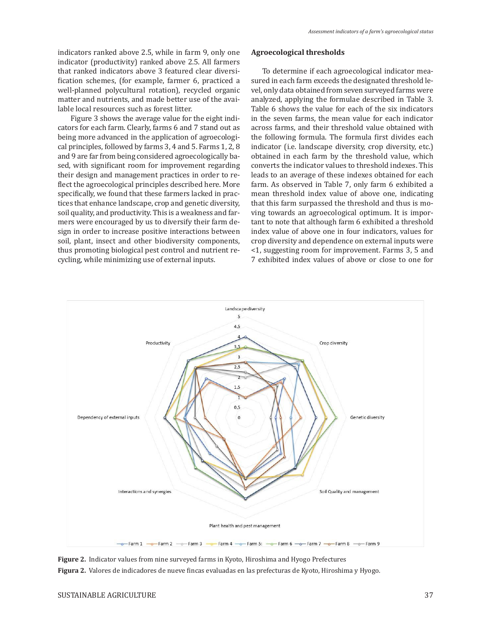indicators ranked above 2.5, while in farm 9, only one indicator (productivity) ranked above 2.5. All farmers that ranked indicators above 3 featured clear diversification schemes, (for example, farmer 6, practiced a well-planned polycultural rotation), recycled organic matter and nutrients, and made better use of the available local resources such as forest litter.

 Figure 3 shows the average value for the eight indicators for each farm. Clearly, farms 6 and 7 stand out as being more advanced in the application of agroecological principles, followed by farms 3, 4 and 5. Farms 1, 2, 8 and 9 are far from being considered agroecologically based, with significant room for improvement regarding their design and management practices in order to reflect the agroecological principles described here. More specifically, we found that these farmers lacked in practices that enhance landscape, crop and genetic diversity, soil quality, and productivity. This is a weakness and farmers were encouraged by us to diversify their farm design in order to increase positive interactions between soil, plant, insect and other biodiversity components, thus promoting biological pest control and nutrient recycling, while minimizing use of external inputs.

## **Agroecological thresholds**

To determine if each agroecological indicator measured in each farm exceeds the designated threshold level, only data obtained from seven surveyed farms were analyzed, applying the formulae described in Table 3. Table 6 shows the value for each of the six indicators in the seven farms, the mean value for each indicator across farms, and their threshold value obtained with the following formula. The formula first divides each indicator (i.e. landscape diversity, crop diversity, etc.) obtained in each farm by the threshold value, which converts the indicator values to threshold indexes. This leads to an average of these indexes obtained for each farm. As observed in Table 7, only farm 6 exhibited a mean threshold index value of above one, indicating that this farm surpassed the threshold and thus is moving towards an agroecological optimum. It is important to note that although farm 6 exhibited a threshold index value of above one in four indicators, values for crop diversity and dependence on external inputs were <1, suggesting room for improvement. Farms 3, 5 and 7 exhibited index values of above or close to one for



**Figure 2.** Indicator values from nine surveyed farms in Kyoto, Hiroshima and Hyogo Prefectures **Figura 2.** Valores de indicadores de nueve fincas evaluadas en las prefecturas de Kyoto, Hiroshima y Hyogo.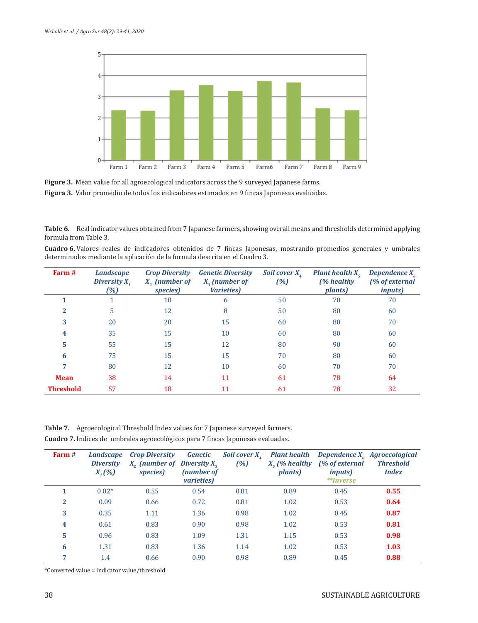

Figure 3. Mean value for all agroecological indicators across the 9 surveyed Japanese farms. **Figura 3.** Valor promedio de todos los indicadores estimados en 9 fincas Japonesas evaluadas.

Table 6. Real indicator values obtained from 7 Japanese farmers, showing overall means and thresholds determined applying formula from Table 3.

**Cuadro 6.** Valores reales de indicadores obtenidos de 7 fincas Japonesas, mostrando promedios generales y umbrales determinados mediante la aplicación de la formula descrita en el Cuadro 3.

| Farm #           | <b>Landscape</b><br>Diversity $X_t$<br>(%) | <b>Crop Diversity</b><br>$X_{\alpha}$ (number of<br>species) | <b>Genetic Diversity</b><br>$X2$ (number of<br><i>Varieties</i> ) | Soil cover $X_{\alpha}$<br>(%) | <b>Plant health <math>X_c</math></b><br>(% healthy)<br><i>plants</i> ) | Dependence $X_{\epsilon}$<br>(% of external<br><i>inputs</i> ) |
|------------------|--------------------------------------------|--------------------------------------------------------------|-------------------------------------------------------------------|--------------------------------|------------------------------------------------------------------------|----------------------------------------------------------------|
|                  |                                            | 10                                                           | 6                                                                 | 50                             | 70                                                                     | 70                                                             |
|                  | 5                                          | 12                                                           | 8                                                                 | 50                             | 80                                                                     | 60                                                             |
| 3                | 20                                         | 20                                                           | 15                                                                | 60                             | 80                                                                     | 70                                                             |
| 4                | 35                                         | 15                                                           | 10                                                                | 60                             | 80                                                                     | 60                                                             |
| 5                | 55                                         | 15                                                           | 12                                                                | 80                             | 90                                                                     | 60                                                             |
| 6                | 75                                         | 15                                                           | 15                                                                | 70                             | 80                                                                     | 60                                                             |
|                  | 80                                         | 12                                                           | 10                                                                | 60                             | 70                                                                     | 70                                                             |
| <b>Mean</b>      | 38                                         | 14                                                           | 11                                                                | 61                             | 78                                                                     | 64                                                             |
| <b>Threshold</b> | 57                                         | 18                                                           | 11                                                                | 61                             | 78                                                                     | 32                                                             |

**Table 7.** Agroecological Threshold Index values for 7 Japanese surveyed farmers. **Cuadro 7.** Indices de umbrales agroecológicos para 7 fincas Japonesas evaluadas.

| Farm $#$ | <b>Landscape</b><br><b>Diversity</b><br>$X_{1}(%)$ | <b>Crop Diversity</b><br>$X2$ (number of Diversity $X2$<br>species) | Genetic<br>(number of<br><i>varieties</i> ) | Soil cover $X_{\mu}$<br>(%) | <b>Plant health</b><br>$Xr$ (% healthy<br><i>plants</i> ) | (% of external<br><i>inputs</i> )<br>**Inverse | Dependence $X_{\epsilon}$ Agroecological<br><b>Threshold</b><br><i>Index</i> |
|----------|----------------------------------------------------|---------------------------------------------------------------------|---------------------------------------------|-----------------------------|-----------------------------------------------------------|------------------------------------------------|------------------------------------------------------------------------------|
|          | $0.02*$                                            | 0.55                                                                | 0.54                                        | 0.81                        | 0.89                                                      | 0.45                                           | 0.55                                                                         |
| 2        | 0.09                                               | 0.66                                                                | 0.72                                        | 0.81                        | 1.02                                                      | 0.53                                           | 0.64                                                                         |
| 3        | 0.35                                               | 1.11                                                                | 1.36                                        | 0.98                        | 1.02                                                      | 0.45                                           | 0.87                                                                         |
| 4        | 0.61                                               | 0.83                                                                | 0.90                                        | 0.98                        | 1.02                                                      | 0.53                                           | 0.81                                                                         |
| 5        | 0.96                                               | 0.83                                                                | 1.09                                        | 1.31                        | 1.15                                                      | 0.53                                           | 0.98                                                                         |
| 6        | 1.31                                               | 0.83                                                                | 1.36                                        | 1.14                        | 1.02                                                      | 0.53                                           | 1.03                                                                         |
| 7        | 1.4                                                | 0.66                                                                | 0.90                                        | 0.98                        | 0.89                                                      | 0.45                                           | 0.88                                                                         |

\*Converted value = indicator value/threshold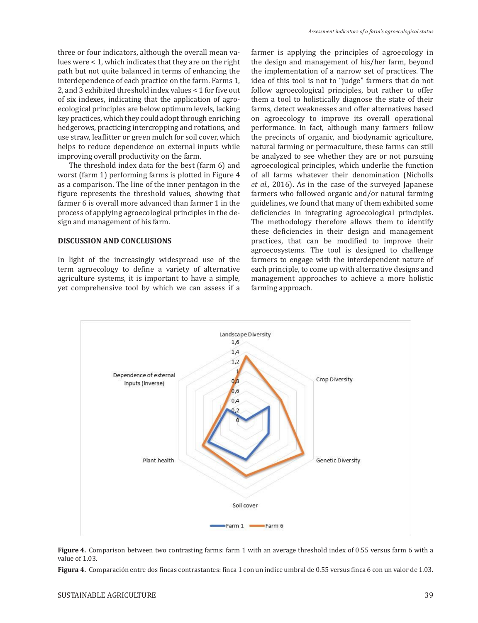three or four indicators, although the overall mean values were < 1, which indicates that they are on the right path but not quite balanced in terms of enhancing the interdependence of each practice on the farm. Farms 1, 2, and 3 exhibited threshold index values < 1 for five out of six indexes, indicating that the application of agroecological principles are below optimum levels, lacking key practices, which they could adopt through enriching hedgerows, practicing intercropping and rotations, and use straw, leaflitter or green mulch for soil cover, which helps to reduce dependence on external inputs while improving overall productivity on the farm.

The threshold index data for the best (farm 6) and worst (farm 1) performing farms is plotted in Figure 4 as a comparison. The line of the inner pentagon in the figure represents the threshold values, showing that farmer 6 is overall more advanced than farmer 1 in the process of applying agroecological principles in the design and management of his farm.

#### **DISCUSSION AND CONCLUSIONS**

In light of the increasingly widespread use of the term agroecology to define a variety of alternative agriculture systems, it is important to have a simple, yet comprehensive tool by which we can assess if a

farmer is applying the principles of agroecology in the design and management of his/her farm, beyond the implementation of a narrow set of practices. The idea of this tool is not to "judge" farmers that do not follow agroecological principles, but rather to offer them a tool to holistically diagnose the state of their farms, detect weaknesses and offer alternatives based on agroecology to improve its overall operational performance. In fact, although many farmers follow the precincts of organic, and biodynamic agriculture, natural farming or permaculture, these farms can still be analyzed to see whether they are or not pursuing agroecological principles, which underlie the function of all farms whatever their denomination (Nicholls *et al.,* 2016). As in the case of the surveyed Japanese farmers who followed organic and/or natural farming guidelines, we found that many of them exhibited some deficiencies in integrating agroecological principles. The methodology therefore allows them to identify these deficiencies in their design and management practices, that can be modified to improve their agroecosystems. The tool is designed to challenge farmers to engage with the interdependent nature of each principle, to come up with alternative designs and management approaches to achieve a more holistic farming approach.



**Figure 4.** Comparison between two contrasting farms: farm 1 with an average threshold index of 0.55 versus farm 6 with a value of 1.03.

**Figura 4.** Comparación entre dos fincas contrastantes: finca 1 con un índice umbral de 0.55 versus finca 6 con un valor de 1.03.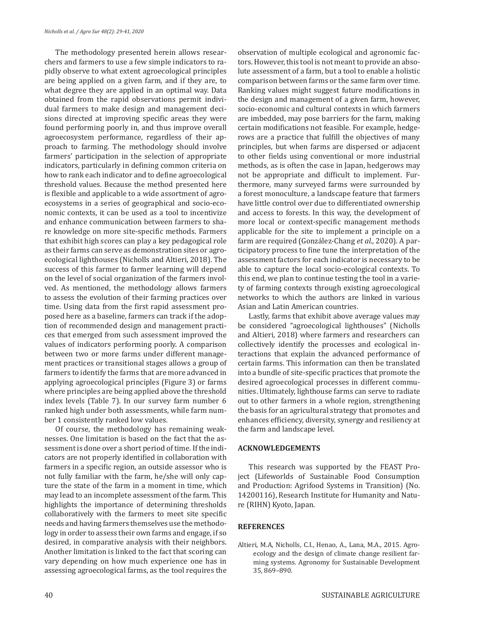The methodology presented herein allows researchers and farmers to use a few simple indicators to rapidly observe to what extent agroecological principles are being applied on a given farm, and if they are, to what degree they are applied in an optimal way. Data obtained from the rapid observations permit individual farmers to make design and management decisions directed at improving specific areas they were found performing poorly in, and thus improve overall agroecosystem performance, regardless of their approach to farming. The methodology should involve farmers' participation in the selection of appropriate indicators, particularly in defining common criteria on how to rank each indicator and to define agroecological threshold values. Because the method presented here is flexible and applicable to a wide assortment of agroecosystems in a series of geographical and socio-economic contexts, it can be used as a tool to incentivize and enhance communication between farmers to share knowledge on more site-specific methods. Farmers that exhibit high scores can play a key pedagogical role as their farms can serve as demonstration sites or agroecological lighthouses (Nicholls and Altieri, 2018). The success of this farmer to farmer learning will depend on the level of social organization of the farmers involved. As mentioned, the methodology allows farmers to assess the evolution of their farming practices over time. Using data from the first rapid assessment proposed here as a baseline, farmers can track if the adoption of recommended design and management practices that emerged from such assessment improved the values of indicators performing poorly. A comparison between two or more farms under different management practices or transitional stages allows a group of farmers to identify the farms that are more advanced in applying agroecological principles (Figure 3) or farms where principles are being applied above the threshold index levels (Table 7). In our survey farm number 6 ranked high under both assessments, while farm number 1 consistently ranked low values.

Of course, the methodology has remaining weaknesses. One limitation is based on the fact that the assessment is done over a short period of time. If the indicators are not properly identified in collaboration with farmers in a specific region, an outside assessor who is not fully familiar with the farm, he/she will only capture the state of the farm in a moment in time, which may lead to an incomplete assessment of the farm. This highlights the importance of determining thresholds collaboratively with the farmers to meet site specific needs and having farmers themselves use the methodology in order to assess their own farms and engage, if so desired, in comparative analysis with their neighbors. Another limitation is linked to the fact that scoring can vary depending on how much experience one has in assessing agroecological farms, as the tool requires the observation of multiple ecological and agronomic factors. However, this tool is not meant to provide an absolute assessment of a farm, but a tool to enable a holistic comparison between farms or the same farm over time. Ranking values might suggest future modifications in the design and management of a given farm, however, socio-economic and cultural contexts in which farmers are imbedded, may pose barriers for the farm, making certain modifications not feasible. For example, hedgerows are a practice that fulfill the objectives of many principles, but when farms are dispersed or adjacent to other fields using conventional or more industrial methods, as is often the case in Japan, hedgerows may not be appropriate and difficult to implement. Furthermore, many surveyed farms were surrounded by a forest monoculture, a landscape feature that farmers have little control over due to differentiated ownership and access to forests. In this way, the development of more local or context-specific management methods applicable for the site to implement a principle on a farm are required (González-Chang *et al.*, 2020). A participatory process to fine tune the interpretation of the assessment factors for each indicator is necessary to be able to capture the local socio-ecological contexts. To this end, we plan to continue testing the tool in a variety of farming contexts through existing agroecological networks to which the authors are linked in various Asian and Latin American countries.

Lastly, farms that exhibit above average values may be considered "agroecological lighthouses" (Nicholls and Altieri, 2018) where farmers and researchers can collectively identify the processes and ecological interactions that explain the advanced performance of certain farms. This information can then be translated into a bundle of site-specific practices that promote the desired agroecological processes in different communities. Ultimately, lighthouse farms can serve to radiate out to other farmers in a whole region, strengthening the basis for an agricultural strategy that promotes and enhances efficiency, diversity, synergy and resiliency at the farm and landscape level.

## **ACKNOWLEDGEMENTS**

This research was supported by the FEAST Project (Lifeworlds of Sustainable Food Consumption and Production: Agrifood Systems in Transition) (No. 14200116), Research Institute for Humanity and Nature (RIHN) Kyoto, Japan.

## **REFERENCES**

Altieri, M.A, Nicholls, C.I., Henao, A., Lana, M.A., 2015. Agroecology and the design of climate change resilient farming systems. Agronomy for Sustainable Development 35, 869–890.